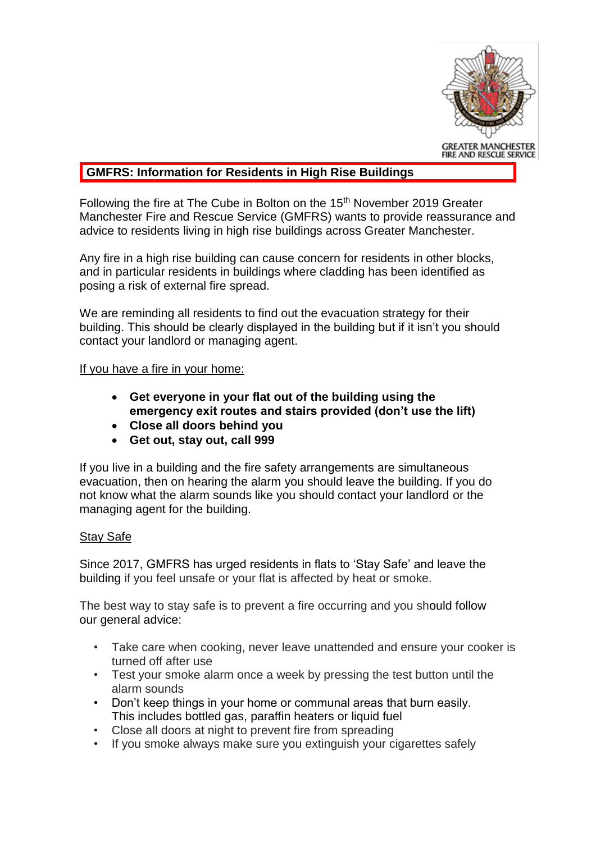

## **GMFRS: Information for Residents in High Rise Buildings**

Following the fire at The Cube in Bolton on the 15<sup>th</sup> November 2019 Greater Manchester Fire and Rescue Service (GMFRS) wants to provide reassurance and advice to residents living in high rise buildings across Greater Manchester.

Any fire in a high rise building can cause concern for residents in other blocks, and in particular residents in buildings where cladding has been identified as posing a risk of external fire spread.

We are reminding all residents to find out the evacuation strategy for their building. This should be clearly displayed in the building but if it isn't you should contact your landlord or managing agent.

## If you have a fire in your home:

- **Get everyone in your flat out of the building using the emergency exit routes and stairs provided (don't use the lift)**
- **Close all doors behind you**
- **Get out, stay out, call 999**

If you live in a building and the fire safety arrangements are simultaneous evacuation, then on hearing the alarm you should leave the building. If you do not know what the alarm sounds like you should contact your landlord or the managing agent for the building.

## Stay Safe

Since 2017, GMFRS has urged residents in flats to 'Stay Safe' and leave the building if you feel unsafe or your flat is affected by heat or smoke.

The best way to stay safe is to prevent a fire occurring and you should follow our general advice:

- Take care when cooking, never leave unattended and ensure your cooker is turned off after use
- Test your smoke alarm once a week by pressing the test button until the alarm sounds
- Don't keep things in your home or communal areas that burn easily. This includes bottled gas, paraffin heaters or liquid fuel
- Close all doors at night to prevent fire from spreading
- If you smoke always make sure you extinguish your cigarettes safely